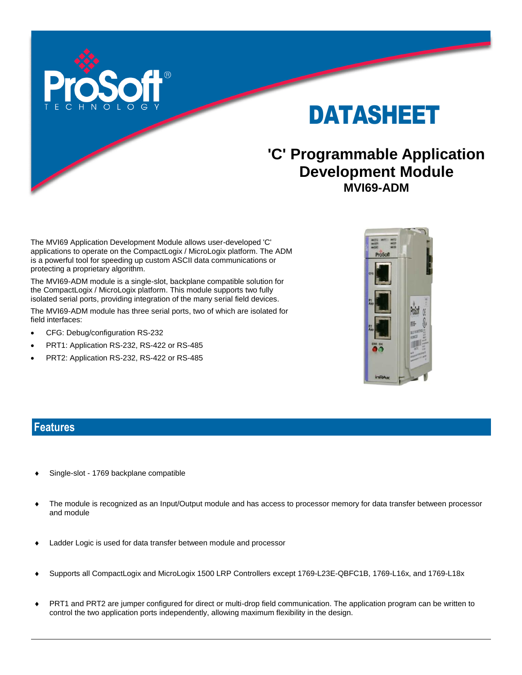



## **'C' Programmable Application Development Module MVI69-ADM**

The MVI69 Application Development Module allows user-developed 'C' applications to operate on the CompactLogix / MicroLogix platform. The ADM is a powerful tool for speeding up custom ASCII data communications or protecting a proprietary algorithm.

The MVI69-ADM module is a single-slot, backplane compatible solution for the CompactLogix / MicroLogix platform. This module supports two fully isolated serial ports, providing integration of the many serial field devices.

The MVI69-ADM module has three serial ports, two of which are isolated for field interfaces:

- CFG: Debug/configuration RS-232
- PRT1: Application RS-232, RS-422 or RS-485
- PRT2: Application RS-232, RS-422 or RS-485



#### **Features**

- Single-slot 1769 backplane compatible
- The module is recognized as an Input/Output module and has access to processor memory for data transfer between processor and module
- Ladder Logic is used for data transfer between module and processor
- Supports all CompactLogix and MicroLogix 1500 LRP Controllers except 1769-L23E-QBFC1B, 1769-L16x, and 1769-L18x
- PRT1 and PRT2 are jumper configured for direct or multi-drop field communication. The application program can be written to control the two application ports independently, allowing maximum flexibility in the design.